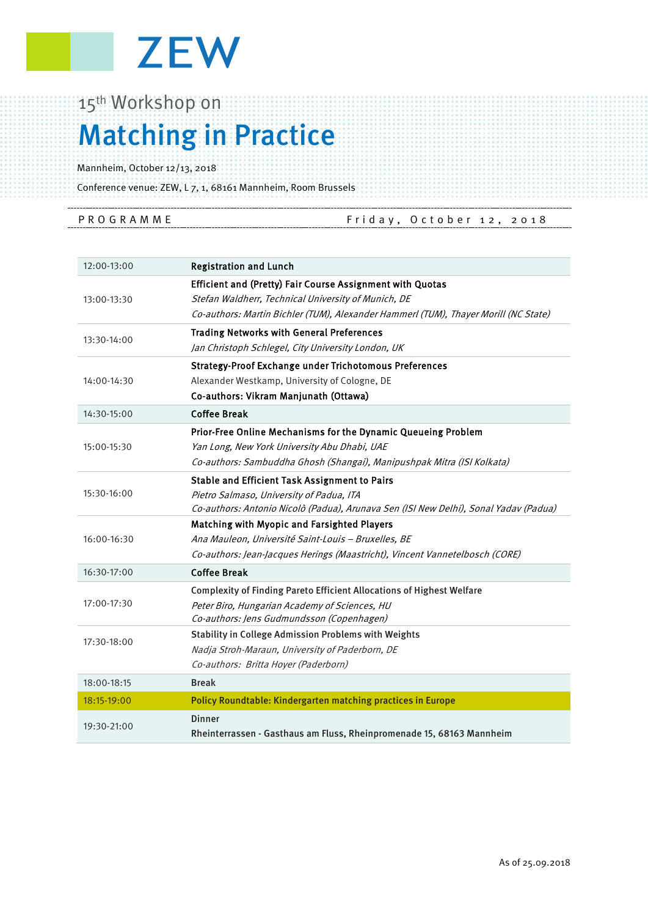

## 15<sup>th</sup> Workshop on Matching in Practice

Mannheim, October 12/13, 2018

Conference venue: ZEW, L 7, 1, 68161 Mannheim, Room Brussels

| PROGRAMME | Friday, October 12, 2018 |  |
|-----------|--------------------------|--|
|           |                          |  |

| 12:00-13:00 | <b>Registration and Lunch</b>                                                        |
|-------------|--------------------------------------------------------------------------------------|
| 13:00-13:30 | Efficient and (Pretty) Fair Course Assignment with Quotas                            |
|             | Stefan Waldherr, Technical University of Munich, DE                                  |
|             | Co-authors: Martin Bichler (TUM), Alexander Hammerl (TUM), Thayer Morill (NC State)  |
| 13:30-14:00 | <b>Trading Networks with General Preferences</b>                                     |
|             | Jan Christoph Schlegel, City University London, UK                                   |
| 14:00-14:30 | <b>Strategy-Proof Exchange under Trichotomous Preferences</b>                        |
|             | Alexander Westkamp, University of Cologne, DE                                        |
|             | Co-authors: Vikram Manjunath (Ottawa)                                                |
| 14:30-15:00 | <b>Coffee Break</b>                                                                  |
| 15:00-15:30 | Prior-Free Online Mechanisms for the Dynamic Queueing Problem                        |
|             | Yan Long, New York University Abu Dhabi, UAE                                         |
|             | Co-authors: Sambuddha Ghosh (Shangai), Manipushpak Mitra (ISI Kolkata)               |
| 15:30-16:00 | <b>Stable and Efficient Task Assignment to Pairs</b>                                 |
|             | Pietro Salmaso, University of Padua, ITA                                             |
|             | Co-authors: Antonio Nicolò (Padua), Arunava Sen (ISI New Delhi), Sonal Yadav (Padua) |
| 16:00-16:30 | Matching with Myopic and Farsighted Players                                          |
|             | Ana Mauleon, Université Saint-Louis - Bruxelles, BE                                  |
|             | Co-authors: Jean-Jacques Herings (Maastricht), Vincent Vannetelbosch (CORE)          |
| 16:30-17:00 | <b>Coffee Break</b>                                                                  |
| 17:00-17:30 | <b>Complexity of Finding Pareto Efficient Allocations of Highest Welfare</b>         |
|             | Peter Biro, Hungarian Academy of Sciences, HU                                        |
|             | Co-authors: Jens Gudmundsson (Copenhagen)                                            |
| 17:30-18:00 | <b>Stability in College Admission Problems with Weights</b>                          |
|             | Nadja Stroh-Maraun, University of Paderborn, DE                                      |
|             | Co-authors: Britta Hoyer (Paderborn)                                                 |
| 18:00-18:15 | <b>Break</b>                                                                         |
| 18:15-19:00 | Policy Roundtable: Kindergarten matching practices in Europe                         |
| 19:30-21:00 | <b>Dinner</b>                                                                        |
|             | Rheinterrassen - Gasthaus am Fluss, Rheinpromenade 15, 68163 Mannheim                |